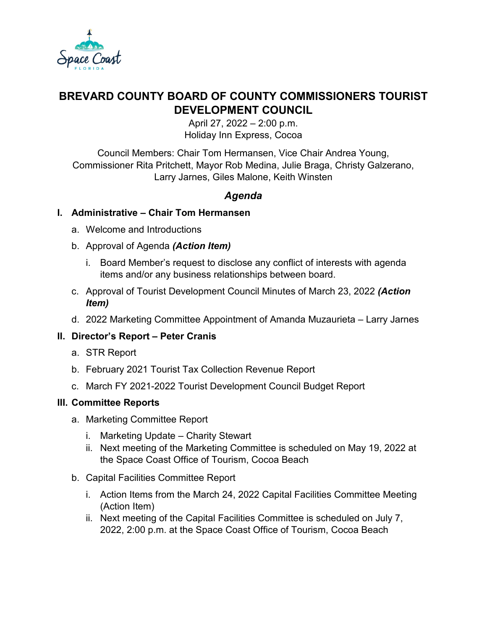

# **BREVARD COUNTY BOARD OF COUNTY COMMISSIONERS TOURIST DEVELOPMENT COUNCIL**

April 27, 2022 – 2:00 p.m. Holiday Inn Express, Cocoa

Council Members: Chair Tom Hermansen, Vice Chair Andrea Young, Commissioner Rita Pritchett, Mayor Rob Medina, Julie Braga, Christy Galzerano, Larry Jarnes, Giles Malone, Keith Winsten

## *Agenda*

#### **I. Administrative – Chair Tom Hermansen**

- a. Welcome and Introductions
- b. Approval of Agenda *(Action Item)*
	- i. Board Member's request to disclose any conflict of interests with agenda items and/or any business relationships between board.
- c. Approval of Tourist Development Council Minutes of March 23, 2022 *(Action Item)*
- d. 2022 Marketing Committee Appointment of Amanda Muzaurieta Larry Jarnes

#### **II. Director's Report – Peter Cranis**

- a. STR Report
- b. February 2021 Tourist Tax Collection Revenue Report
- c. March FY 2021-2022 Tourist Development Council Budget Report

#### **III. Committee Reports**

- a. Marketing Committee Report
	- i. Marketing Update Charity Stewart
	- ii. Next meeting of the Marketing Committee is scheduled on May 19, 2022 at the Space Coast Office of Tourism, Cocoa Beach
- b. Capital Facilities Committee Report
	- i. Action Items from the March 24, 2022 Capital Facilities Committee Meeting (Action Item)
	- ii. Next meeting of the Capital Facilities Committee is scheduled on July 7, 2022, 2:00 p.m. at the Space Coast Office of Tourism, Cocoa Beach